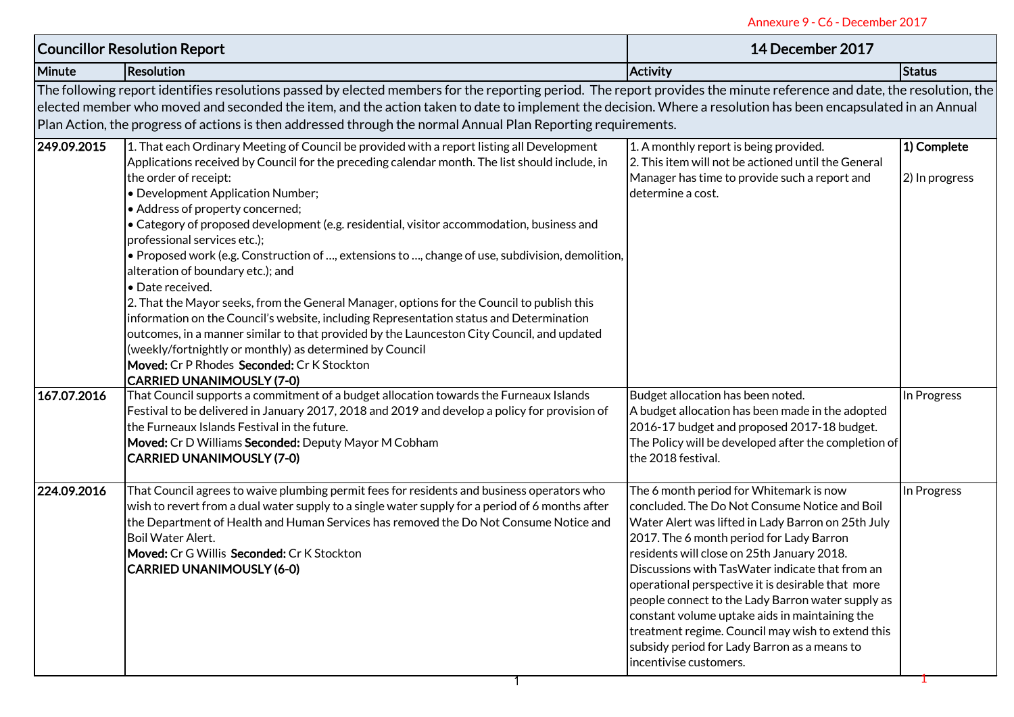|             |                                                                                                                                                                                                                                                                                                                                                                                                                                                                                                                                                                                                                                                                                                                                                                                                                                                                                                                                                                                                                              | Annexure 9 - C6 - December 2017                                                                                                                                                                                                                                                                                                                                                                                                                                                                                                                                                        |                               |  |  |  |  |
|-------------|------------------------------------------------------------------------------------------------------------------------------------------------------------------------------------------------------------------------------------------------------------------------------------------------------------------------------------------------------------------------------------------------------------------------------------------------------------------------------------------------------------------------------------------------------------------------------------------------------------------------------------------------------------------------------------------------------------------------------------------------------------------------------------------------------------------------------------------------------------------------------------------------------------------------------------------------------------------------------------------------------------------------------|----------------------------------------------------------------------------------------------------------------------------------------------------------------------------------------------------------------------------------------------------------------------------------------------------------------------------------------------------------------------------------------------------------------------------------------------------------------------------------------------------------------------------------------------------------------------------------------|-------------------------------|--|--|--|--|
|             | <b>Councillor Resolution Report</b>                                                                                                                                                                                                                                                                                                                                                                                                                                                                                                                                                                                                                                                                                                                                                                                                                                                                                                                                                                                          | 14 December 2017                                                                                                                                                                                                                                                                                                                                                                                                                                                                                                                                                                       |                               |  |  |  |  |
| Minute      | <b>Resolution</b>                                                                                                                                                                                                                                                                                                                                                                                                                                                                                                                                                                                                                                                                                                                                                                                                                                                                                                                                                                                                            | <b>Activity</b>                                                                                                                                                                                                                                                                                                                                                                                                                                                                                                                                                                        | <b>Status</b>                 |  |  |  |  |
|             | The following report identifies resolutions passed by elected members for the reporting period. The report provides the minute reference and date, the resolution, the<br>elected member who moved and seconded the item, and the action taken to date to implement the decision. Where a resolution has been encapsulated in an Annual<br>Plan Action, the progress of actions is then addressed through the normal Annual Plan Reporting requirements.                                                                                                                                                                                                                                                                                                                                                                                                                                                                                                                                                                     |                                                                                                                                                                                                                                                                                                                                                                                                                                                                                                                                                                                        |                               |  |  |  |  |
| 249.09.2015 | 1. That each Ordinary Meeting of Council be provided with a report listing all Development<br>Applications received by Council for the preceding calendar month. The list should include, in<br>the order of receipt:<br>• Development Application Number;<br>• Address of property concerned;<br>• Category of proposed development (e.g. residential, visitor accommodation, business and<br>professional services etc.);<br>• Proposed work (e.g. Construction of , extensions to , change of use, subdivision, demolition,<br>alteration of boundary etc.); and<br>· Date received.<br>2. That the Mayor seeks, from the General Manager, options for the Council to publish this<br>information on the Council's website, including Representation status and Determination<br>outcomes, in a manner similar to that provided by the Launceston City Council, and updated<br>(weekly/fortnightly or monthly) as determined by Council<br>Moved: Cr P Rhodes Seconded: Cr K Stockton<br><b>CARRIED UNANIMOUSLY (7-0)</b> | 1. A monthly report is being provided.<br>2. This item will not be actioned until the General<br>Manager has time to provide such a report and<br>determine a cost.                                                                                                                                                                                                                                                                                                                                                                                                                    | 1) Complete<br>2) In progress |  |  |  |  |
| 167.07.2016 | That Council supports a commitment of a budget allocation towards the Furneaux Islands<br>Festival to be delivered in January 2017, 2018 and 2019 and develop a policy for provision of<br>the Furneaux Islands Festival in the future.<br>Moved: Cr D Williams Seconded: Deputy Mayor M Cobham<br><b>CARRIED UNANIMOUSLY (7-0)</b>                                                                                                                                                                                                                                                                                                                                                                                                                                                                                                                                                                                                                                                                                          | Budget allocation has been noted.<br>A budget allocation has been made in the adopted<br>2016-17 budget and proposed 2017-18 budget.<br>The Policy will be developed after the completion of<br>the 2018 festival.                                                                                                                                                                                                                                                                                                                                                                     | In Progress                   |  |  |  |  |
| 224.09.2016 | That Council agrees to waive plumbing permit fees for residents and business operators who<br>wish to revert from a dual water supply to a single water supply for a period of 6 months after<br>the Department of Health and Human Services has removed the Do Not Consume Notice and<br><b>Boil Water Alert.</b><br>Moved: Cr G Willis Seconded: Cr K Stockton<br><b>CARRIED UNANIMOUSLY (6-0)</b>                                                                                                                                                                                                                                                                                                                                                                                                                                                                                                                                                                                                                         | The 6 month period for Whitemark is now<br>concluded. The Do Not Consume Notice and Boil<br>Water Alert was lifted in Lady Barron on 25th July<br>2017. The 6 month period for Lady Barron<br>residents will close on 25th January 2018.<br>Discussions with TasWater indicate that from an<br>operational perspective it is desirable that more<br>people connect to the Lady Barron water supply as<br>constant volume uptake aids in maintaining the<br>treatment regime. Council may wish to extend this<br>subsidy period for Lady Barron as a means to<br>incentivise customers. | In Progress                   |  |  |  |  |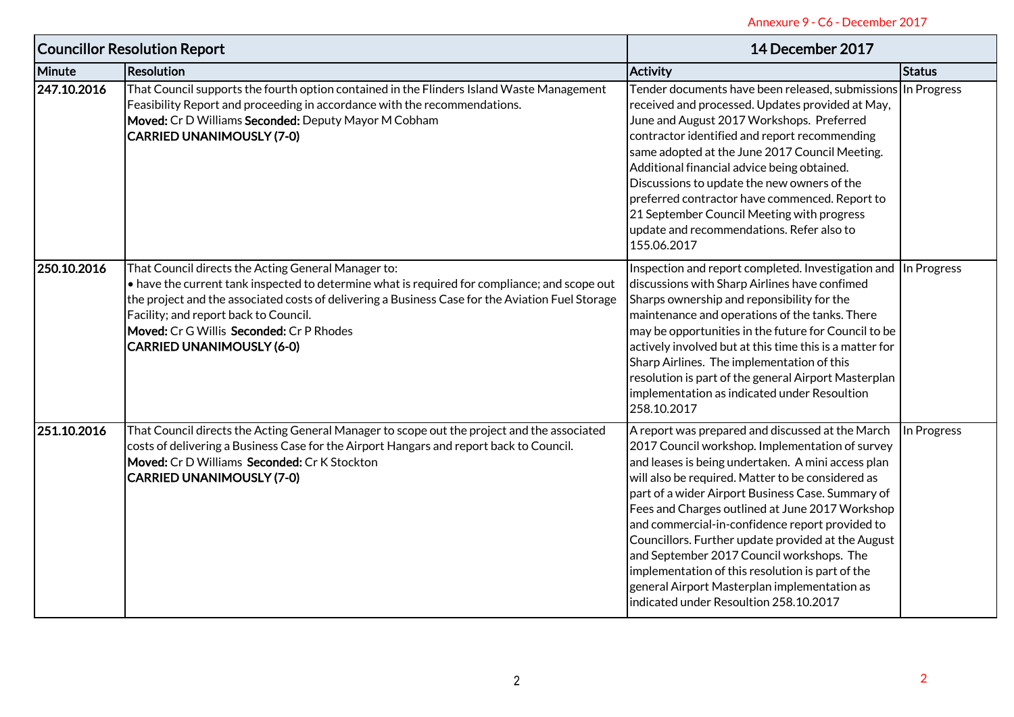|             | <b>Councillor Resolution Report</b>                                                                                                                                                                                                                                                                                                                                               | 14 December 2017                                                                                                                                                                                                                                                                                                                                                                                                                                                                                                                                                                                                           |               |
|-------------|-----------------------------------------------------------------------------------------------------------------------------------------------------------------------------------------------------------------------------------------------------------------------------------------------------------------------------------------------------------------------------------|----------------------------------------------------------------------------------------------------------------------------------------------------------------------------------------------------------------------------------------------------------------------------------------------------------------------------------------------------------------------------------------------------------------------------------------------------------------------------------------------------------------------------------------------------------------------------------------------------------------------------|---------------|
| Minute      | <b>Resolution</b>                                                                                                                                                                                                                                                                                                                                                                 | <b>Activity</b>                                                                                                                                                                                                                                                                                                                                                                                                                                                                                                                                                                                                            | <b>Status</b> |
| 247.10.2016 | That Council supports the fourth option contained in the Flinders Island Waste Management<br>Feasibility Report and proceeding in accordance with the recommendations.<br>Moved: Cr D Williams Seconded: Deputy Mayor M Cobham<br><b>CARRIED UNANIMOUSLY (7-0)</b>                                                                                                                | Tender documents have been released, submissions In Progress<br>received and processed. Updates provided at May,<br>June and August 2017 Workshops. Preferred<br>contractor identified and report recommending<br>same adopted at the June 2017 Council Meeting.<br>Additional financial advice being obtained.<br>Discussions to update the new owners of the<br>preferred contractor have commenced. Report to<br>21 September Council Meeting with progress<br>update and recommendations. Refer also to<br>155.06.2017                                                                                                 |               |
| 250.10.2016 | That Council directs the Acting General Manager to:<br>• have the current tank inspected to determine what is required for compliance; and scope out<br>the project and the associated costs of delivering a Business Case for the Aviation Fuel Storage<br>Facility; and report back to Council.<br>Moved: Cr G Willis Seconded: Cr P Rhodes<br><b>CARRIED UNANIMOUSLY (6-0)</b> | Inspection and report completed. Investigation and In Progress<br>discussions with Sharp Airlines have confimed<br>Sharps ownership and reponsibility for the<br>maintenance and operations of the tanks. There<br>may be opportunities in the future for Council to be<br>actively involved but at this time this is a matter for<br>Sharp Airlines. The implementation of this<br>resolution is part of the general Airport Masterplan<br>implementation as indicated under Resoultion<br>258.10.2017                                                                                                                    |               |
| 251.10.2016 | That Council directs the Acting General Manager to scope out the project and the associated<br>costs of delivering a Business Case for the Airport Hangars and report back to Council.<br>Moved: Cr D Williams Seconded: Cr K Stockton<br><b>CARRIED UNANIMOUSLY (7-0)</b>                                                                                                        | A report was prepared and discussed at the March<br>2017 Council workshop. Implementation of survey<br>and leases is being undertaken. A mini access plan<br>will also be required. Matter to be considered as<br>part of a wider Airport Business Case. Summary of<br>Fees and Charges outlined at June 2017 Workshop<br>and commercial-in-confidence report provided to<br>Councillors. Further update provided at the August<br>and September 2017 Council workshops. The<br>implementation of this resolution is part of the<br>general Airport Masterplan implementation as<br>indicated under Resoultion 258.10.2017 | In Progress   |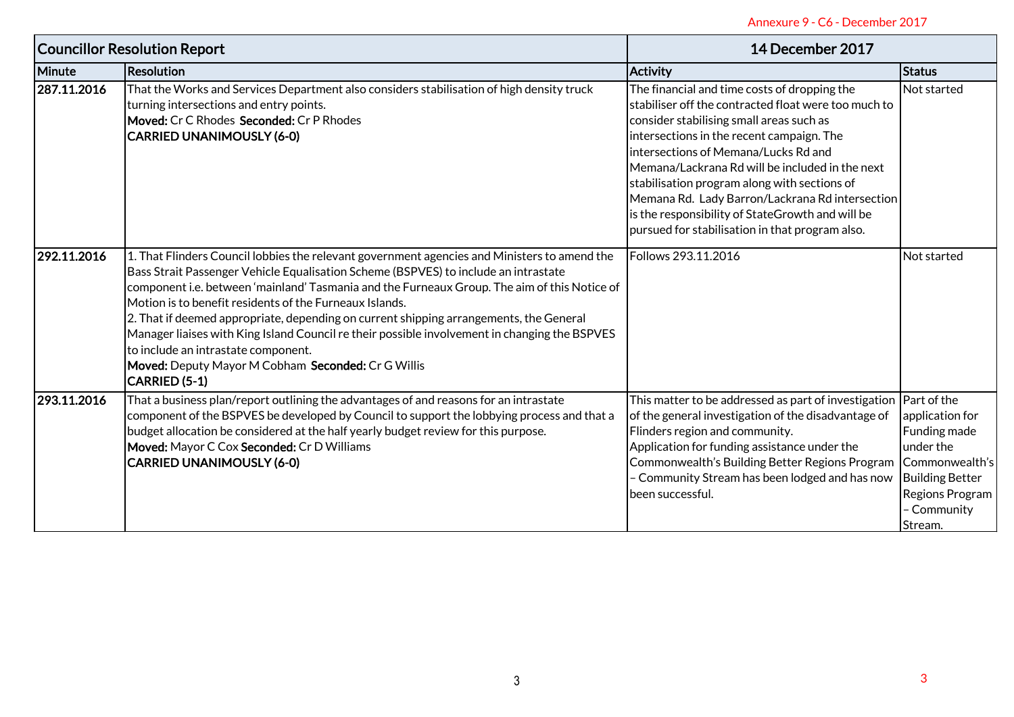|             | <b>Councillor Resolution Report</b>                                                                                                                                                                                                                                                                                                                                                                                                                                                                                                                                                                                                                     | 14 December 2017                                                                                                                                                                                                                                                                                                                                                                                                                                                                                   |                                                                                                                                       |  |
|-------------|---------------------------------------------------------------------------------------------------------------------------------------------------------------------------------------------------------------------------------------------------------------------------------------------------------------------------------------------------------------------------------------------------------------------------------------------------------------------------------------------------------------------------------------------------------------------------------------------------------------------------------------------------------|----------------------------------------------------------------------------------------------------------------------------------------------------------------------------------------------------------------------------------------------------------------------------------------------------------------------------------------------------------------------------------------------------------------------------------------------------------------------------------------------------|---------------------------------------------------------------------------------------------------------------------------------------|--|
| Minute      | <b>Resolution</b>                                                                                                                                                                                                                                                                                                                                                                                                                                                                                                                                                                                                                                       | <b>Activity</b>                                                                                                                                                                                                                                                                                                                                                                                                                                                                                    | <b>Status</b>                                                                                                                         |  |
| 287.11.2016 | That the Works and Services Department also considers stabilisation of high density truck<br>turning intersections and entry points.<br>Moved: Cr C Rhodes Seconded: Cr P Rhodes<br><b>CARRIED UNANIMOUSLY (6-0)</b>                                                                                                                                                                                                                                                                                                                                                                                                                                    | The financial and time costs of dropping the<br>stabiliser off the contracted float were too much to<br>consider stabilising small areas such as<br>intersections in the recent campaign. The<br>intersections of Memana/Lucks Rd and<br>Memana/Lackrana Rd will be included in the next<br>stabilisation program along with sections of<br>Memana Rd. Lady Barron/Lackrana Rd intersection<br>is the responsibility of StateGrowth and will be<br>pursued for stabilisation in that program also. | Not started                                                                                                                           |  |
| 292.11.2016 | 1. That Flinders Council lobbies the relevant government agencies and Ministers to amend the<br>Bass Strait Passenger Vehicle Equalisation Scheme (BSPVES) to include an intrastate<br>component i.e. between 'mainland' Tasmania and the Furneaux Group. The aim of this Notice of<br>Motion is to benefit residents of the Furneaux Islands.<br>2. That if deemed appropriate, depending on current shipping arrangements, the General<br>Manager liaises with King Island Council re their possible involvement in changing the BSPVES<br>to include an intrastate component.<br>Moved: Deputy Mayor M Cobham Seconded: Cr G Willis<br>CARRIED (5-1) | Follows 293.11.2016                                                                                                                                                                                                                                                                                                                                                                                                                                                                                | Not started                                                                                                                           |  |
| 293.11.2016 | That a business plan/report outlining the advantages of and reasons for an intrastate<br>component of the BSPVES be developed by Council to support the lobbying process and that a<br>budget allocation be considered at the half yearly budget review for this purpose.<br>Moved: Mayor C Cox Seconded: Cr D Williams<br><b>CARRIED UNANIMOUSLY (6-0)</b>                                                                                                                                                                                                                                                                                             | This matter to be addressed as part of investigation Part of the<br>of the general investigation of the disadvantage of<br>Flinders region and community.<br>Application for funding assistance under the<br>Commonwealth's Building Better Regions Program<br>- Community Stream has been lodged and has now<br>been successful.                                                                                                                                                                  | application for<br>Funding made<br>under the<br>Commonwealth's<br><b>Building Better</b><br>Regions Program<br>- Community<br>Stream. |  |
|             |                                                                                                                                                                                                                                                                                                                                                                                                                                                                                                                                                                                                                                                         |                                                                                                                                                                                                                                                                                                                                                                                                                                                                                                    |                                                                                                                                       |  |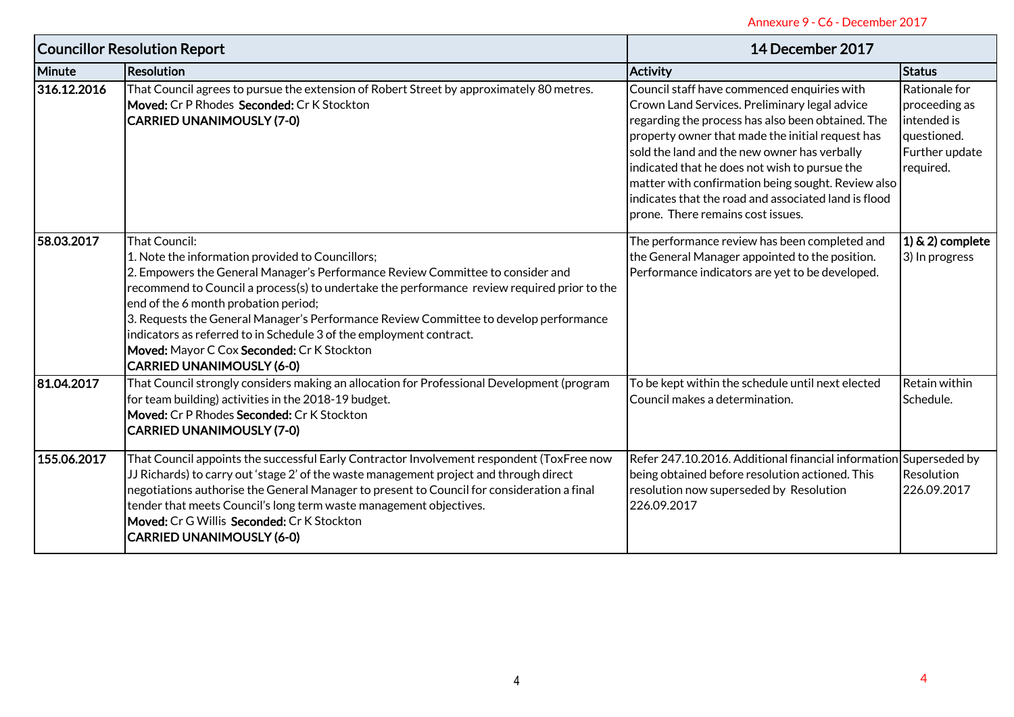|                                     | Annexure 9 - C6 - December 2017                                                                                                                                                                                                                                                                                                                                                                                                                                                                                                              |                                                                                                                                                                                                                                                                                                                                                                                                                                                           |                                                                                             |  |  |
|-------------------------------------|----------------------------------------------------------------------------------------------------------------------------------------------------------------------------------------------------------------------------------------------------------------------------------------------------------------------------------------------------------------------------------------------------------------------------------------------------------------------------------------------------------------------------------------------|-----------------------------------------------------------------------------------------------------------------------------------------------------------------------------------------------------------------------------------------------------------------------------------------------------------------------------------------------------------------------------------------------------------------------------------------------------------|---------------------------------------------------------------------------------------------|--|--|
| <b>Councillor Resolution Report</b> |                                                                                                                                                                                                                                                                                                                                                                                                                                                                                                                                              | 14 December 2017                                                                                                                                                                                                                                                                                                                                                                                                                                          |                                                                                             |  |  |
| Minute                              | Resolution                                                                                                                                                                                                                                                                                                                                                                                                                                                                                                                                   | <b>Activity</b>                                                                                                                                                                                                                                                                                                                                                                                                                                           | <b>Status</b>                                                                               |  |  |
| 316.12.2016                         | That Council agrees to pursue the extension of Robert Street by approximately 80 metres.<br>Moved: Cr P Rhodes Seconded: Cr K Stockton<br><b>CARRIED UNANIMOUSLY (7-0)</b>                                                                                                                                                                                                                                                                                                                                                                   | Council staff have commenced enquiries with<br>Crown Land Services. Preliminary legal advice<br>regarding the process has also been obtained. The<br>property owner that made the initial request has<br>sold the land and the new owner has verbally<br>indicated that he does not wish to pursue the<br>matter with confirmation being sought. Review also<br>indicates that the road and associated land is flood<br>prone. There remains cost issues. | Rationale for<br>proceeding as<br>intended is<br>questioned.<br>Further update<br>required. |  |  |
| 58.03.2017                          | That Council:<br>1. Note the information provided to Councillors;<br>2. Empowers the General Manager's Performance Review Committee to consider and<br>recommend to Council a process(s) to undertake the performance review required prior to the<br>end of the 6 month probation period;<br>3. Requests the General Manager's Performance Review Committee to develop performance<br>indicators as referred to in Schedule 3 of the employment contract.<br>Moved: Mayor C Cox Seconded: Cr K Stockton<br><b>CARRIED UNANIMOUSLY (6-0)</b> | The performance review has been completed and<br>the General Manager appointed to the position.<br>Performance indicators are yet to be developed.                                                                                                                                                                                                                                                                                                        | $(1)$ & 2) complete<br>3) In progress                                                       |  |  |
| 81.04.2017                          | That Council strongly considers making an allocation for Professional Development (program<br>for team building) activities in the 2018-19 budget.<br>Moved: Cr P Rhodes Seconded: Cr K Stockton<br><b>CARRIED UNANIMOUSLY (7-0)</b>                                                                                                                                                                                                                                                                                                         | To be kept within the schedule until next elected<br>Council makes a determination.                                                                                                                                                                                                                                                                                                                                                                       | Retain within<br>Schedule.                                                                  |  |  |
| 155.06.2017                         | That Council appoints the successful Early Contractor Involvement respondent (ToxFree now<br>JJ Richards) to carry out 'stage 2' of the waste management project and through direct<br>negotiations authorise the General Manager to present to Council for consideration a final<br>tender that meets Council's long term waste management objectives.<br>Moved: Cr G Willis Seconded: Cr K Stockton<br><b>CARRIED UNANIMOUSLY (6-0)</b>                                                                                                    | Refer 247.10.2016. Additional financial information Superseded by<br>being obtained before resolution actioned. This<br>resolution now superseded by Resolution<br>226.09.2017                                                                                                                                                                                                                                                                            | Resolution<br>226.09.2017                                                                   |  |  |
|                                     |                                                                                                                                                                                                                                                                                                                                                                                                                                                                                                                                              |                                                                                                                                                                                                                                                                                                                                                                                                                                                           |                                                                                             |  |  |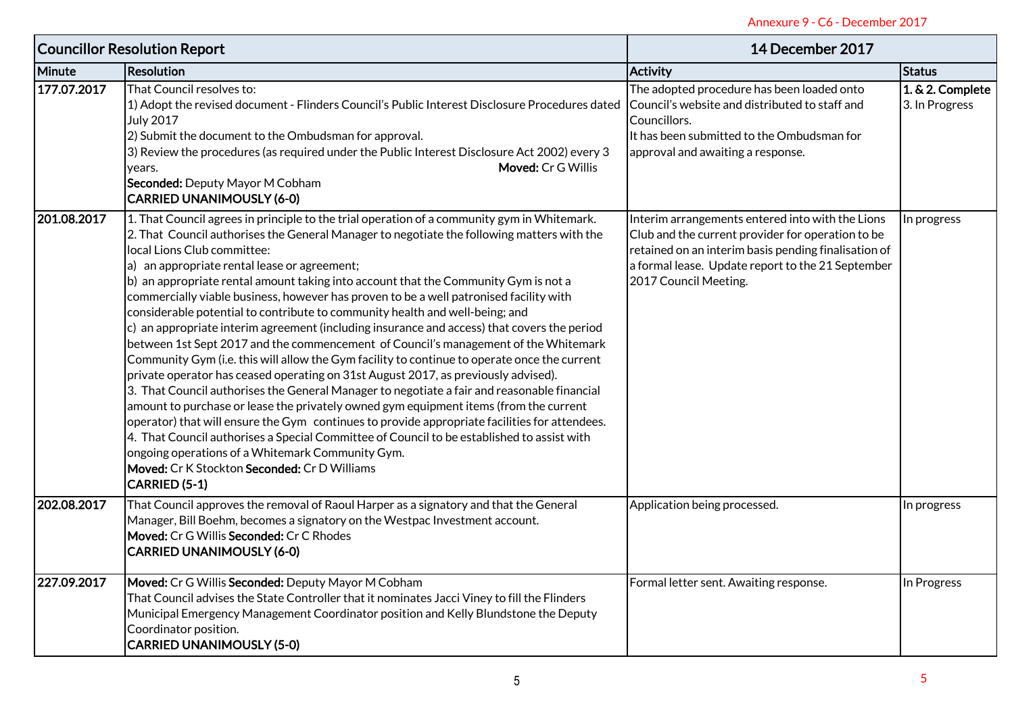| Annexure 9 - C6 - December 2017 |                                                                                                                                                                                                                                                                                                                                                                                                                                                                                                                                                                                                                                                                                                                                                                                                                                                                                                                                                                                                                                                                                                                                                                                                                                                                                                                                                                                                                                   |                                                                                                                                                                                                                                             |                                    |  |
|---------------------------------|-----------------------------------------------------------------------------------------------------------------------------------------------------------------------------------------------------------------------------------------------------------------------------------------------------------------------------------------------------------------------------------------------------------------------------------------------------------------------------------------------------------------------------------------------------------------------------------------------------------------------------------------------------------------------------------------------------------------------------------------------------------------------------------------------------------------------------------------------------------------------------------------------------------------------------------------------------------------------------------------------------------------------------------------------------------------------------------------------------------------------------------------------------------------------------------------------------------------------------------------------------------------------------------------------------------------------------------------------------------------------------------------------------------------------------------|---------------------------------------------------------------------------------------------------------------------------------------------------------------------------------------------------------------------------------------------|------------------------------------|--|
|                                 | <b>Councillor Resolution Report</b>                                                                                                                                                                                                                                                                                                                                                                                                                                                                                                                                                                                                                                                                                                                                                                                                                                                                                                                                                                                                                                                                                                                                                                                                                                                                                                                                                                                               | 14 December 2017                                                                                                                                                                                                                            |                                    |  |
| Minute                          | <b>Resolution</b>                                                                                                                                                                                                                                                                                                                                                                                                                                                                                                                                                                                                                                                                                                                                                                                                                                                                                                                                                                                                                                                                                                                                                                                                                                                                                                                                                                                                                 | <b>Activity</b>                                                                                                                                                                                                                             | Status                             |  |
| 177.07.2017                     | That Council resolves to:<br>1) Adopt the revised document - Flinders Council's Public Interest Disclosure Procedures dated<br><b>July 2017</b><br>2) Submit the document to the Ombudsman for approval.<br>3) Review the procedures (as required under the Public Interest Disclosure Act 2002) every 3<br>Moved: Cr G Willis<br>years.<br>Seconded: Deputy Mayor M Cobham<br><b>CARRIED UNANIMOUSLY (6-0)</b>                                                                                                                                                                                                                                                                                                                                                                                                                                                                                                                                                                                                                                                                                                                                                                                                                                                                                                                                                                                                                   | The adopted procedure has been loaded onto<br>Council's website and distributed to staff and<br>Councillors.<br>It has been submitted to the Ombudsman for<br>approval and awaiting a response.                                             | 1. & 2. Complete<br>3. In Progress |  |
| 201.08.2017                     | 1. That Council agrees in principle to the trial operation of a community gym in Whitemark.<br>2. That Council authorises the General Manager to negotiate the following matters with the<br>local Lions Club committee:<br>a) an appropriate rental lease or agreement;<br>b) an appropriate rental amount taking into account that the Community Gym is not a<br>commercially viable business, however has proven to be a well patronised facility with<br>considerable potential to contribute to community health and well-being; and<br>c) an appropriate interim agreement (including insurance and access) that covers the period<br>between 1st Sept 2017 and the commencement of Council's management of the Whitemark<br>Community Gym (i.e. this will allow the Gym facility to continue to operate once the current<br>private operator has ceased operating on 31st August 2017, as previously advised).<br>3. That Council authorises the General Manager to negotiate a fair and reasonable financial<br>amount to purchase or lease the privately owned gym equipment items (from the current<br>operator) that will ensure the Gym continues to provide appropriate facilities for attendees.<br>4. That Council authorises a Special Committee of Council to be established to assist with<br>ongoing operations of a Whitemark Community Gym.<br>Moved: Cr K Stockton Seconded: Cr D Williams<br>CARRIED (5-1) | Interim arrangements entered into with the Lions<br>Club and the current provider for operation to be<br>retained on an interim basis pending finalisation of<br>a formal lease. Update report to the 21 September<br>2017 Council Meeting. | In progress                        |  |
| 202.08.2017                     | That Council approves the removal of Raoul Harper as a signatory and that the General<br>Manager, Bill Boehm, becomes a signatory on the Westpac Investment account.<br>Moved: Cr G Willis Seconded: Cr C Rhodes<br><b>CARRIED UNANIMOUSLY (6-0)</b>                                                                                                                                                                                                                                                                                                                                                                                                                                                                                                                                                                                                                                                                                                                                                                                                                                                                                                                                                                                                                                                                                                                                                                              | Application being processed.                                                                                                                                                                                                                | In progress                        |  |
| 227.09.2017                     | Moved: Cr G Willis Seconded: Deputy Mayor M Cobham<br>That Council advises the State Controller that it nominates Jacci Viney to fill the Flinders<br>Municipal Emergency Management Coordinator position and Kelly Blundstone the Deputy<br>Coordinator position.<br><b>CARRIED UNANIMOUSLY (5-0)</b>                                                                                                                                                                                                                                                                                                                                                                                                                                                                                                                                                                                                                                                                                                                                                                                                                                                                                                                                                                                                                                                                                                                            | Formal letter sent. Awaiting response.                                                                                                                                                                                                      | In Progress                        |  |
|                                 |                                                                                                                                                                                                                                                                                                                                                                                                                                                                                                                                                                                                                                                                                                                                                                                                                                                                                                                                                                                                                                                                                                                                                                                                                                                                                                                                                                                                                                   |                                                                                                                                                                                                                                             | 5                                  |  |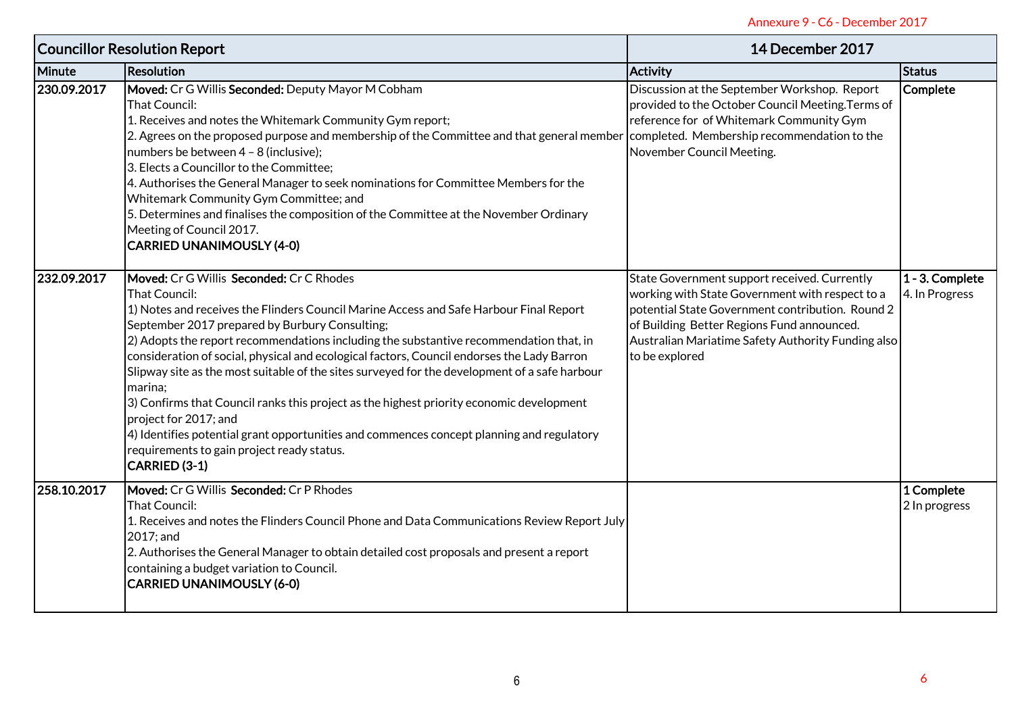| Annexure 9 - C6 - December 2017     |                                                                                                                                                                                                                                                                                                                                                                                                                                                                                                                                                                                                                                                                                                                                                                                            |                                                                                                                                                                                                                                                                           |                                   |  |
|-------------------------------------|--------------------------------------------------------------------------------------------------------------------------------------------------------------------------------------------------------------------------------------------------------------------------------------------------------------------------------------------------------------------------------------------------------------------------------------------------------------------------------------------------------------------------------------------------------------------------------------------------------------------------------------------------------------------------------------------------------------------------------------------------------------------------------------------|---------------------------------------------------------------------------------------------------------------------------------------------------------------------------------------------------------------------------------------------------------------------------|-----------------------------------|--|
| <b>Councillor Resolution Report</b> |                                                                                                                                                                                                                                                                                                                                                                                                                                                                                                                                                                                                                                                                                                                                                                                            | 14 December 2017                                                                                                                                                                                                                                                          |                                   |  |
| Minute                              | <b>Resolution</b>                                                                                                                                                                                                                                                                                                                                                                                                                                                                                                                                                                                                                                                                                                                                                                          | <b>Activity</b>                                                                                                                                                                                                                                                           | <b>Status</b>                     |  |
| 230.09.2017                         | Moved: Cr G Willis Seconded: Deputy Mayor M Cobham<br>That Council:<br>1. Receives and notes the Whitemark Community Gym report;<br>2. Agrees on the proposed purpose and membership of the Committee and that general member completed. Membership recommendation to the<br>numbers be between 4 - 8 (inclusive);<br>3. Elects a Councillor to the Committee;<br>4. Authorises the General Manager to seek nominations for Committee Members for the<br>Whitemark Community Gym Committee; and<br>5. Determines and finalises the composition of the Committee at the November Ordinary<br>Meeting of Council 2017.<br><b>CARRIED UNANIMOUSLY (4-0)</b>                                                                                                                                   | Discussion at the September Workshop. Report<br>provided to the October Council Meeting. Terms of<br>reference for of Whitemark Community Gym<br>November Council Meeting.                                                                                                | Complete                          |  |
| 232.09.2017                         | Moved: Cr G Willis Seconded: Cr C Rhodes<br>That Council:<br>1) Notes and receives the Flinders Council Marine Access and Safe Harbour Final Report<br>September 2017 prepared by Burbury Consulting;<br>2) Adopts the report recommendations including the substantive recommendation that, in<br>consideration of social, physical and ecological factors, Council endorses the Lady Barron<br>Slipway site as the most suitable of the sites surveyed for the development of a safe harbour<br>marina;<br>3) Confirms that Council ranks this project as the highest priority economic development<br>project for 2017; and<br>4) Identifies potential grant opportunities and commences concept planning and regulatory<br>requirements to gain project ready status.<br>CARRIED (3-1) | State Government support received. Currently<br>working with State Government with respect to a<br>potential State Government contribution. Round 2<br>of Building Better Regions Fund announced.<br>Australian Mariatime Safety Authority Funding also<br>to be explored | 1 - 3. Complete<br>4. In Progress |  |
| 258.10.2017                         | Moved: Cr G Willis Seconded: Cr P Rhodes<br>That Council:<br>1. Receives and notes the Flinders Council Phone and Data Communications Review Report July<br>2017; and<br>2. Authorises the General Manager to obtain detailed cost proposals and present a report<br>containing a budget variation to Council.<br><b>CARRIED UNANIMOUSLY (6-0)</b>                                                                                                                                                                                                                                                                                                                                                                                                                                         |                                                                                                                                                                                                                                                                           | 1 Complete<br>2 In progress       |  |
|                                     |                                                                                                                                                                                                                                                                                                                                                                                                                                                                                                                                                                                                                                                                                                                                                                                            |                                                                                                                                                                                                                                                                           | 6                                 |  |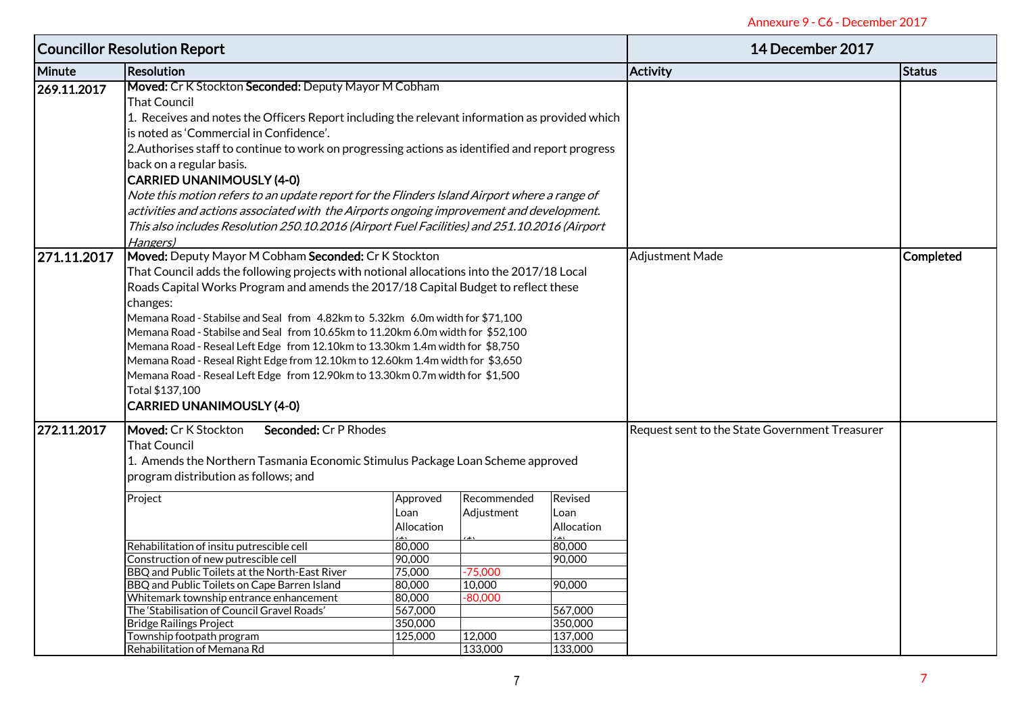| <b>Councillor Resolution Report</b> |                                                                                                  |                                                |                  |            | 14 December 2017 |               |
|-------------------------------------|--------------------------------------------------------------------------------------------------|------------------------------------------------|------------------|------------|------------------|---------------|
| Minute                              | <b>Resolution</b>                                                                                |                                                |                  |            | <b>Activity</b>  | <b>Status</b> |
| 269.11.2017                         | Moved: Cr K Stockton Seconded: Deputy Mayor M Cobham                                             |                                                |                  |            |                  |               |
|                                     | <b>That Council</b>                                                                              |                                                |                  |            |                  |               |
|                                     | 1. Receives and notes the Officers Report including the relevant information as provided which   |                                                |                  |            |                  |               |
|                                     | is noted as 'Commercial in Confidence'.                                                          |                                                |                  |            |                  |               |
|                                     | 2. Authorises staff to continue to work on progressing actions as identified and report progress |                                                |                  |            |                  |               |
|                                     |                                                                                                  |                                                |                  |            |                  |               |
|                                     | back on a regular basis.                                                                         |                                                |                  |            |                  |               |
|                                     | <b>CARRIED UNANIMOUSLY (4-0)</b>                                                                 |                                                |                  |            |                  |               |
|                                     | Note this motion refers to an update report for the Flinders Island Airport where a range of     |                                                |                  |            |                  |               |
|                                     | activities and actions associated with the Airports ongoing improvement and development.         |                                                |                  |            |                  |               |
|                                     | This also includes Resolution 250.10.2016 (Airport Fuel Facilities) and 251.10.2016 (Airport     |                                                |                  |            |                  |               |
|                                     | Hangers)                                                                                         |                                                |                  |            |                  |               |
| 271.11.2017                         | Moved: Deputy Mayor M Cobham Seconded: Cr K Stockton                                             | <b>Adjustment Made</b>                         | <b>Completed</b> |            |                  |               |
|                                     | That Council adds the following projects with notional allocations into the 2017/18 Local        |                                                |                  |            |                  |               |
|                                     | Roads Capital Works Program and amends the 2017/18 Capital Budget to reflect these               |                                                |                  |            |                  |               |
|                                     | changes:                                                                                         |                                                |                  |            |                  |               |
|                                     | Memana Road - Stabilse and Seal from 4.82km to 5.32km 6.0m width for \$71,100                    |                                                |                  |            |                  |               |
|                                     | Memana Road - Stabilse and Seal from 10.65km to 11.20km 6.0m width for \$52,100                  |                                                |                  |            |                  |               |
|                                     | Memana Road - Reseal Left Edge from 12.10km to 13.30km 1.4m width for \$8,750                    |                                                |                  |            |                  |               |
|                                     | Memana Road - Reseal Right Edge from 12.10km to 12.60km 1.4m width for \$3,650                   |                                                |                  |            |                  |               |
|                                     | Memana Road - Reseal Left Edge from 12.90km to 13.30km 0.7m width for \$1,500                    |                                                |                  |            |                  |               |
|                                     | Total \$137,100                                                                                  |                                                |                  |            |                  |               |
|                                     | <b>CARRIED UNANIMOUSLY (4-0)</b>                                                                 |                                                |                  |            |                  |               |
|                                     |                                                                                                  |                                                |                  |            |                  |               |
| 272.11.2017                         | Moved: Cr K Stockton<br>Seconded: Cr P Rhodes                                                    | Request sent to the State Government Treasurer |                  |            |                  |               |
|                                     | <b>That Council</b>                                                                              |                                                |                  |            |                  |               |
|                                     | 1. Amends the Northern Tasmania Economic Stimulus Package Loan Scheme approved                   |                                                |                  |            |                  |               |
|                                     | program distribution as follows; and                                                             |                                                |                  |            |                  |               |
|                                     | Project                                                                                          | Approved                                       | Recommended      | Revised    |                  |               |
|                                     |                                                                                                  | Loan                                           | Adjustment       | Loan       |                  |               |
|                                     |                                                                                                  | Allocation                                     |                  | Allocation |                  |               |
|                                     | Rehabilitation of insitu putrescible cell                                                        | 80,000                                         |                  | 80,000     |                  |               |
|                                     | Construction of new putrescible cell                                                             | 90,000                                         |                  | 90,000     |                  |               |
|                                     | BBQ and Public Toilets at the North-East River                                                   | 75,000                                         | $-75,000$        |            |                  |               |
|                                     | BBQ and Public Toilets on Cape Barren Island                                                     | 80,000                                         | 10,000           | 90,000     |                  |               |
|                                     | Whitemark township entrance enhancement                                                          | 80,000                                         | $-80,000$        |            |                  |               |
|                                     | The 'Stabilisation of Council Gravel Roads'                                                      | 567,000                                        |                  | 567,000    |                  |               |
|                                     | <b>Bridge Railings Project</b>                                                                   | 350,000                                        |                  | 350,000    |                  |               |
|                                     | Township footpath program                                                                        | 125,000                                        | 12,000           | 137,000    |                  |               |
|                                     | Rehabilitation of Memana Rd                                                                      |                                                | 133,000          | 133,000    |                  |               |